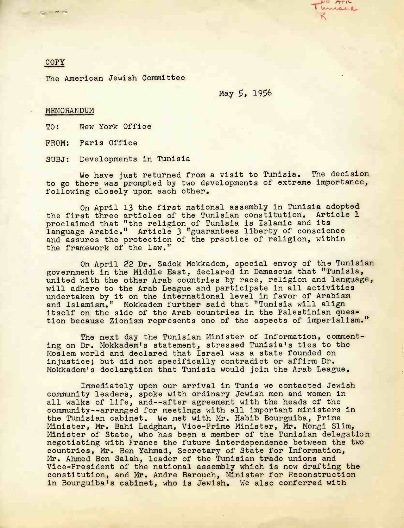$U \sqrt{1 + |U|}$ misse **R**

## COPY

Sim m nd

The American Jewish Committee

May 5, 1956

## MEMORANDUM

TO: New York Office

FROM: Paris Office

SUBJ: Developments in Tunisia

We have just returned from a visit to Tunisia. The decision to go there was prompted by two developments of extreme importance, following closely upon each other.

On April 13 the first national assembly in Tunisia adopted the first three articles of the Tunisian constitution. Article 1 proclaimed that "the religion of Tunisia is Islamic and its language Arabic." Article 3 "guarantees liberty of conscience and assures the protection of the practice of religion, within the framework of the law."

On April 22 Dr. Sadok Mokkadem, special envoy of the Tunisian government in the Middle East, declared in Damascus that "Tunisia, united with the other Arab countries by race, religion and language, will adhere to the Arab League and participate in all activities undertaken by it on the international level in favor of Arabism and Islamism." Mokkadem further said that "Tunisia will align itself on the side of the Arab countries in the Palestinian question because Zionism represents one of the aspects of imperialism."

The next day the Tunisian Minister of Information, commenting on Dr. Mokkadem's statement, stressed Tunisia's ties to the Moslem world and declared that Israel was a state founded on injustice; but did not specifically contradict or affirm Dr. Mokkadem's declaration that Tunisia would join the Arab League.

Immediately upon our arrival in Tunis we contacted Jewish community leaders, spoke with ordinary Jewish men and women in all walks of life, and--after agreement with the heads of the community—arranged for meetings with all important ministers in the Tunisian cabinet. We met with Mr. Habib Bourguiba, Prime Minister, Mr. Bahi Ladgham, Vice-Prime Minister, Mr. Mongi Slim, Minister of State, who has been a member of the Tunisian delegation negotiating with Prance the future interdependence between the two countries, Mr. Ben Yahmad, Secretary of State for Information, Mr. Ahmed Ben Salah, leader of the Tunisian trade unions and Vice-President of the national assembly which is now drafting the constitution, and Mr. Andre Barouch, Minister for Reconstruction in Bourguiba's cabinet, who is Jewish. We also conferred with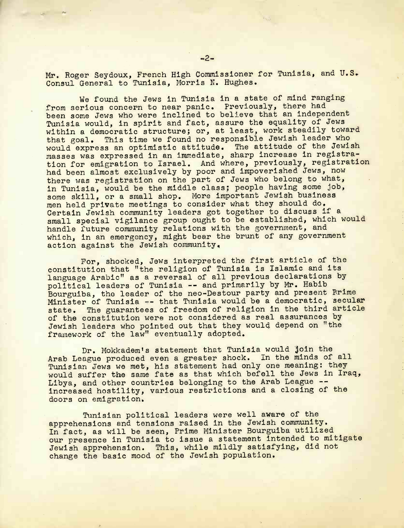Mr. Roger Seydoux, French High. Commissioner for Tunisia, and U.S. Consul General to Tunisia, Morris N. Hughes.

We found the Jews in Tunisia in a state of mind ranging from serious concern to near panic. Previously, there had been some Jews who were inclined to believe that an independent Tunisia would, in spirit and fact, assure the equality of Jews within a democratic structure; or, at least, work steadily toward that goal. This time we found no responsible Jewish leader who would express an optimistic attitude. The attitude of the Jewish masses was expressed in an immediate, sharp increase in registration for emigration to Israel. And where, previously, registration had been almost exclusively by poor and impoverished Jews, now there was registration on the part of Jews who belong to what, in Tunisia, would be the middle class; people having some job, some skill, or a small shop. More important Jewish business men held private meetings to consider what they should do. Certain Jewish community leaders got together to discuss if a small special vigilance group ought to be established, which would handle future community relations with the government, and which, in an emergency, might bear the brunt of any government action against the Jewish community.

For, shocked, Jews interpreted the first article of the constitution that "the religion of Tunisia is Islamic and its language Arabic" as a reversal of all previous declarations by political leaders of Tunisia — and primarily by Mr. Habib Bourguiba, the leader of the neo-Destour party and present Brime Minister of Tunisia — that Tunisia would be a democratic, secular state. The guarantees of freedom of religion in the third article of the constitution were not considered as real assurances by Jewish leaders who pointed out that they would depend on "the framework of the law" eventually adopted.

Dr. Mokkadem's statement that Tunisia would join the Arab League produced even a greater shock. In the minds of all Tunisian Jews we met, his statement had only one meaning: they would suffer the same fate as that which befell the Jews in Iraq, Libya, and other countries belonging to the Arab League -increased hostility, various restrictions and a closing of the doors on emigration.

Tunisian political leaders were well aware of the apprehensions and tensions raised in the Jewish community. In fact, as will be seen, Prime Minister Bourguiba utilized our presence in Tunisia to issue a statement intended to mitigate Jewish apprehension. This, while mildly satisfying, did not change the basic mood of the Jewish population.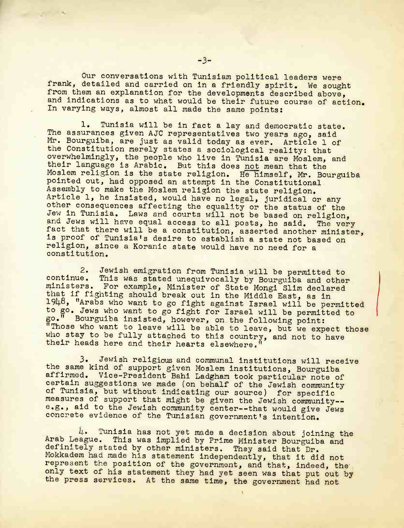Our conversations with Tunisiam political leaders were frank, detailed and carried on in a friendly spirit. We sought from them an explanation for the developments described above, and indications as to what would be their future course of action. In varying ways, almost all made the same points:

1. Tunisia will be in fact a lay and democratic state. The assurances given AJC representatives two years ago, said Mr. Bourguiba, are just as valid today as ever. Article 1 of the Constitution merely states a sociological reality: that overwhelmingly, the people who live in Tunisia are Moslem, and their language is Arabic. But this does not mean that the Moslem religion is the state religion. He himself, Mr. Bourguiba pointed out, had opposed an attempt in the Constitutional Assembly to make the Moslem religion the state religion. Article 1, he insisted, would have no legal, juridical or any other consequences affecting the equality or the status of the Jew In Tunisia, Laws and courts will not be based on religion, and Jews will have equal access to all posts, he said. The very fact that there will be a constitution, asserted another minister, is proof of Tunisia's desire to establish a state not based on religion, since a Koranic state would have no need for a constitution.

2. Jewish emigration from Tunisia will be permitted to continue. This was stated unequivocally by Bourguiba and other This was stated unequivocally by Bourguiba and other. ministers. For example, Minister of State Mongi Slim declared that if fighting should break out in the Middle East, as in 1948, "Arabs who want to go fight against Israel will be permitted to go. Jews who want to go fight for Israel will be permitted to go.<sup>W</sup> Bourguiba insisted, however, on the following point: "Those who want to leave will be able to leave, but we expect those who stay to be fully attached to this country, and not to have their heads here and their hearts elsewhere.'

3. Jewish religious and communal institutions will receive the same kind of support given Moslem institutions, Bourguiba affirmed. Vice-President Bahi Ladgham took particular note of certain suggestions we made (on behalf of the Jewish community of Tunisia, but without Indicating our source) for specific measures of support that might be given the Jewish community- e.g., aid to the Jewish community center--that would give Jews concrete evidence of the Tunisian government's intention.

 $l_!\bullet$  Tunisia has not yet made a decision about joining the Arab League. This was implied by Prime Minister Bourguiba and definitely stated by other ministers. They said that Dr. Mokkadem had made his statement independently, that it did not represent the position of the government, and that, indeed, the only text of his statement they had yet seen was that put out by the press services. At the same time, the government had not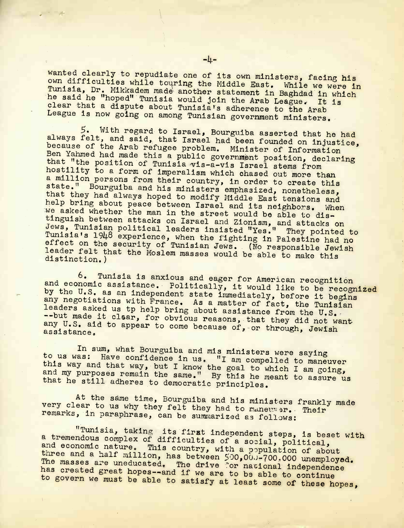wanted clearly to repudiate one of its own ministers, facing hi<br>own difficulties while touring the Middle Bart virs, facing hi own difficulties while touring the Middle East. While we were in Tunisia, Dr. Mikkadem made another statement in Baghdad in which he said he "hoped" Tunisia would join the Arab League. It is<br>clear that a dispute about Tunisia's adherence to the Arab clear that a dispute about Tunisia's adherence to the Arab League is now going on among Tunisian government ministers.

5. With regard to Israel, Bourguiba asserted that he had always felt, and said, that Israel had been founded on injustice, because of the Arab refugee problem. Minister of Information Ben Yahmed had made this a public government position, declaring<br>that "the position of Tunisia public government position, declaring that "the position of Tunisia vis-a-vis Israel stems from<br>hostility to a form of imperalism which chased out more than a million persons from their country, in order to create this boace. Bourguiba and his ministers emphasized, nonetheless,<br>that they had always hoped to modify Middle East tensions and<br>help bring about peace between Israel and its neighbors. When we asked whether the man in the street would be able to tinguish between attacks on Israel and Zionism, and attacks on Jews, Tunisian political leaders insisted "Yes." They pointed to hey pointed to<br>estine had no effect on the security of Tunisian Jews. (No responsible Jewish leader felt that the Mosle **Like the community of the moslem masses would be able to make this distinction.)** 

and economic assistance. Politically, it would like to be recognized<br>by the U.S. as an independent atota in would like to be recognized Tunisia is anxious and eager for American recognition by the U.S. as an independent state immediately, before it begins any negotiations with France. As a matter of fact, the Tunisian aders asked us tp help bring about assistance from the U. any U.S. aid to annear to come boogues at they did not wan --but made it clsar, for obvious reasons, that they did not want assistance. The appear to come because of, or through, Jewis

e<sup>nne na .</sup><br>To us wee . Bo What Bourguiba and mis ministers were saying  $\frac{10}{10}$  us was: Have confidence in us. "I am compelled to maneuver this way and that way, but I know the goal to which I am going, and my purposes remain the same." By this he meant to assure us that he still adheres to democratic principles.

At the same time, Bourguiba and his ministers frankly made very clear to us why they felt they had to maneuver. Their remarks, in paraphrase, can be summarized as follows:

"Tunisia, taking its first independent steps, is beset with a tremendous complex of difficulties of a social, political, and economic nature. This country, with a population of about three and a half million, has between  $500,000,0000$  unemployed. The masses are uneducated. The drive for national independence has created great hopes--and if we are to be able to continue<br>to govern we must be able to satisfy at least some of these hopes,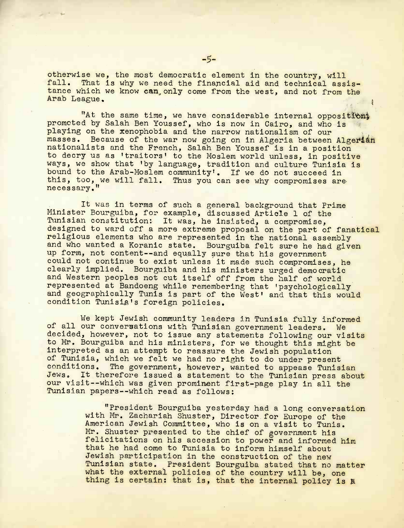otherwise we, the most democratic element in the country, will fall. That is why we need the financial aid and technical assistance which we know can, only come from the west, and not from the Arab League.

"At the same time, we have considerable internal opposition; promoted by Salah Ben Youssef, who is now in Cairo, and who is playing on the xenophobia and the narrow nationalism of our masses. Because of the war now going on in Algeria between Algerian nationalists and the French, Salah Ben Youssef is in a position to decry us as 'traitors' to the Moslem world unless, in positive ways, we show that 'by language, tradition and culture Tunisia is bound to the Arab-Moslem community'. If we do not succeed in Thus you can see why compromises are this, too, we will fall.

It was in terms of such a general background that Prime Minister Bourguiba, for example, discussed Article 1 of the Tunisian constitution: It was, he insisted, a compromise, designed to ward off a more extreme proposal on the part of fanatical religious elements who are represented in the national assembly and who wanted a Koranic state. Bourguiba felt sure he had given up form, not content--and equally sure that his government could not continue to exist unless it made such compromises, he clearly implied. Bourguiba and his ministers urged democratic and Western peoples not cut itself off from the half of world represented at Bandoeng while remembering that 'psychologically and geographically Tunis is part of the West' and that this would condition Tunisia's foreign policies.

We kept Jewish community leaders in Tunisia fully informed of all our conversations with Tunisian government leaders. We decided, however, not to issue any statements following our visits to Mr. Bourguiba and his ministers, for we thought this might be interpreted as an attempt to reassure the Jewish population of Tunisia, which we felt we had no right to do under present<br>conditions. The government, however, wanted to appease Tunis The government, however, wanted to appease Tunisian Jews. It therefore issued a statement to the Tunisian press about our visit--which was given prominent first-page play in all the Tunisian papers--which read as follows:

> "President Bourguiba yesterday had a long conversation with Mr. Zachariah Shuster, Director for Europe of the American Jewish Committee, who is on a visit to Tunis. Mr. Shuster presented to the chief of government his felicitations on his accession to power and informed him that he had come to Tunisia to inform himself about Jewish participation in the construction of the new Tunisian state. President Bourguiba stated that no matter what the external policies of the country will be, one thing is certain: that is, that the internal policy is a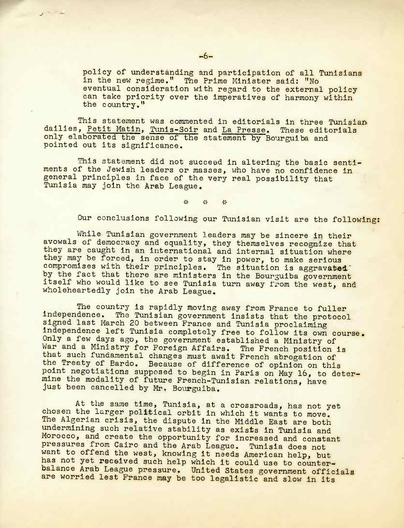policy of understanding and participation of all Tunisians in the new regime." The Prime Minister said: "No eventual consideration with regard to the external policy can take priority over the imperatives of harmony within the country,"

This statement was commented in editorials in three Tunisian dailies, Petit Matin, Tunis-Solr and La Presse. These editorials only elaborated the sense of the statement by Bourguiba and pointed out its significance.

This statement did not succeed in altering the basic sentiments of the Jewish leaders or masses, who have no confidence in general principles in face of the very real possibility that Tunisia may join the Arab League.

> $\frac{1}{2}$ 学  $\frac{1}{2}$

Our conclusions following our Tunisian visit are the following:

While Tunisian government leaders may be sincere in their avowals of democracy and equality, they themselves recognize that they are caught in an international and internal situation where they may be forced, in order to stay in power, to make serious compromises with their principles. The situation is aggravated by the fact that there are ministers in the Bourguiba government itself who would like to see Tunisia turn away from the west, and wholeheartedly join the Arab League.

The country is rapidly moving away from France to fuller independence. The Tunisian government insists that the protocol signed last March 20 between Prance and Tunisia proclaiming independence left Tunisia completely free to follow its own course. Only a few days ago, the government established a Ministry of War and a Ministry for Foreign Affairs. The French position is that such fundamental changes must await French abrogation of the Treaty of Bardo. Because of difference of opinion on this point negotiations supposed to begin in Paris on May 16, to determine the modality of future French-Tunisian relations, have just been cancelled by Mr. Bourguiba.

At the same time, Tunisia, at a crossroads, has not yet chosen the larger political orbit in which it wants to move. The Algerian crisis, the dispute in the Middle East are both undermining such relative stability as exists in Tunisia and Morocco, and create the opportunity for increased and constant pressures from Cairo and the Arab League. Tunisia does not want to offend the west, knowing it needs American help, but has not yet received such help which it could use to counterbalance Arab League pressure. United States government officials are worried lest France may be too legalistic and slow in its